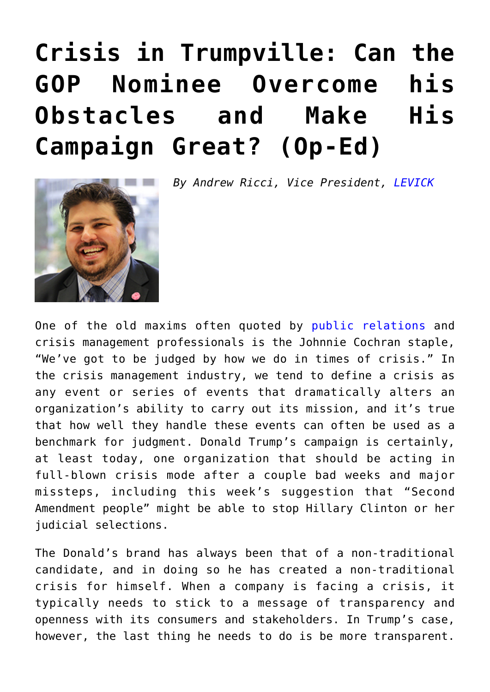## **[Crisis in Trumpville: Can the](https://www.commpro.biz/crisis-in-trumpville-can-the-gop-nominee-overcome-his-obstacles-and-make-his-campaign-great/) [GOP Nominee Overcome his](https://www.commpro.biz/crisis-in-trumpville-can-the-gop-nominee-overcome-his-obstacles-and-make-his-campaign-great/) [Obstacles and Make His](https://www.commpro.biz/crisis-in-trumpville-can-the-gop-nominee-overcome-his-obstacles-and-make-his-campaign-great/) [Campaign Great? \(Op-Ed\)](https://www.commpro.biz/crisis-in-trumpville-can-the-gop-nominee-overcome-his-obstacles-and-make-his-campaign-great/)**



*By Andrew Ricci, Vice President, [LEVICK](https://levick.com/)*

One of the old maxims often quoted by [public relations](https://www.commpro.biz/public-relations-section/) and crisis management professionals is the Johnnie Cochran staple, "We've got to be judged by how we do in times of crisis." In the crisis management industry, we tend to define a crisis as any event or series of events that dramatically alters an organization's ability to carry out its mission, and it's true that how well they handle these events can often be used as a benchmark for judgment. Donald Trump's campaign is certainly, at least today, one organization that should be acting in full-blown crisis mode after a couple bad weeks and major missteps, including this week's suggestion that "Second Amendment people" might be able to stop Hillary Clinton or her judicial selections.

The Donald's brand has always been that of a non-traditional candidate, and in doing so he has created a non-traditional crisis for himself. When a company is facing a crisis, it typically needs to stick to a message of transparency and openness with its consumers and stakeholders. In Trump's case, however, the last thing he needs to do is be more transparent.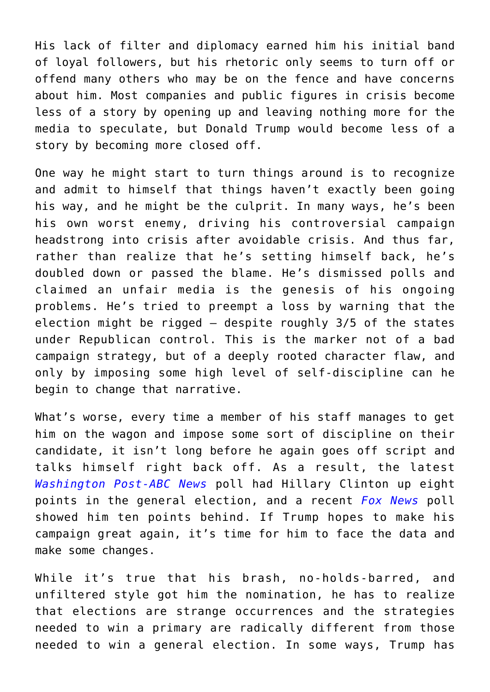His lack of filter and diplomacy earned him his initial band of loyal followers, but his rhetoric only seems to turn off or offend many others who may be on the fence and have concerns about him. Most companies and public figures in crisis become less of a story by opening up and leaving nothing more for the media to speculate, but Donald Trump would become less of a story by becoming more closed off.

One way he might start to turn things around is to recognize and admit to himself that things haven't exactly been going his way, and he might be the culprit. In many ways, he's been his own worst enemy, driving his controversial campaign headstrong into crisis after avoidable crisis. And thus far, rather than realize that he's setting himself back, he's doubled down or passed the blame. He's dismissed polls and claimed an unfair media is the genesis of his ongoing problems. He's tried to preempt a loss by warning that the election might be rigged  $-$  despite roughly 3/5 of the states under Republican control. This is the marker not of a bad campaign strategy, but of a deeply rooted character flaw, and only by imposing some high level of self-discipline can he begin to change that narrative.

What's worse, every time a member of his staff manages to get him on the wagon and impose some sort of discipline on their candidate, it isn't long before he again goes off script and talks himself right back off. As a result, the latest *[Washington Post-ABC News](https://www.washingtonpost.com/politics/poll-after-conventions-clinton-leads-trump-by-8-points/2016/08/06/517999c0-5b33-11e6-9aee-8075993d73a2_story.html)* poll had Hillary Clinton up eight points in the general election, and a recent *[Fox News](https://www.foxnews.com/politics/interactive/2016/08/03/fox-news-poll-aug-3-2016/)* poll showed him ten points behind. If Trump hopes to make his campaign great again, it's time for him to face the data and make some changes.

While it's true that his brash, no-holds-barred, and unfiltered style got him the nomination, he has to realize that elections are strange occurrences and the strategies needed to win a primary are radically different from those needed to win a general election. In some ways, Trump has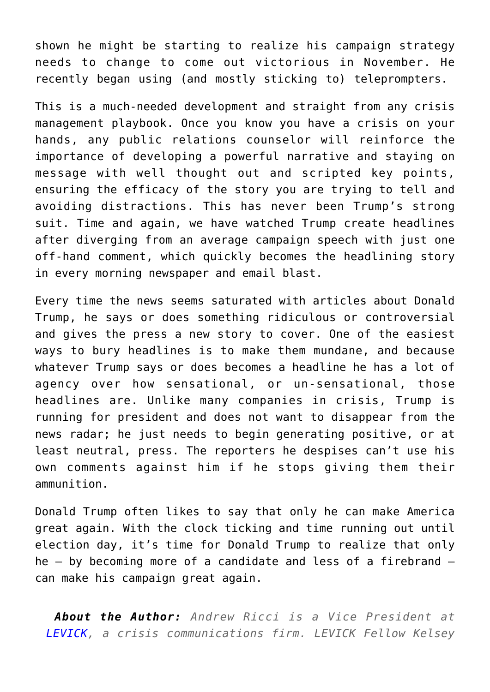shown he might be starting to realize his campaign strategy needs to change to come out victorious in November. He recently began using (and mostly sticking to) teleprompters.

This is a much-needed development and straight from any crisis management playbook. Once you know you have a crisis on your hands, any public relations counselor will reinforce the importance of developing a powerful narrative and staying on message with well thought out and scripted key points, ensuring the efficacy of the story you are trying to tell and avoiding distractions. This has never been Trump's strong suit. Time and again, we have watched Trump create headlines after diverging from an average campaign speech with just one off-hand comment, which quickly becomes the headlining story in every morning newspaper and email blast.

Every time the news seems saturated with articles about Donald Trump, he says or does something ridiculous or controversial and gives the press a new story to cover. One of the easiest ways to bury headlines is to make them mundane, and because whatever Trump says or does becomes a headline he has a lot of agency over how sensational, or un-sensational, those headlines are. Unlike many companies in crisis, Trump is running for president and does not want to disappear from the news radar; he just needs to begin generating positive, or at least neutral, press. The reporters he despises can't use his own comments against him if he stops giving them their ammunition.

Donald Trump often likes to say that only he can make America great again. With the clock ticking and time running out until election day, it's time for Donald Trump to realize that only he – by becoming more of a candidate and less of a firebrand – can make his campaign great again.

*About the Author: Andrew Ricci is a Vice President at LEVICK, a crisis communications firm. LEVICK Fellow Kelsey*